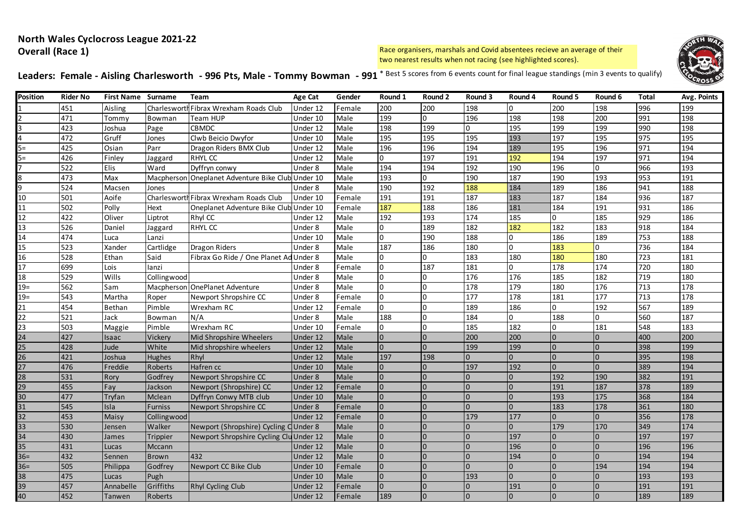# **North Wales Cyclocross League 2021-22 Overall (Race 1)**

Race organisers, marshals and Covid absentees recieve an average of their two nearest results when not racing (see highlighted scores).



Leaders: Female - Aisling Charlesworth - 996 Pts, Male - Tommy Bowman - 991<sup>\* Best 5 scores from 6 events count for final league standings (min 3 events to qualify)</sup>

| Position        | <b>Rider No</b> | <b>First Name Surname</b> |                | Team                                              | Age Cat  | Gender | Round 1  | Round 2        | Round 3  | Round 4        | Round 5  | Round 6        | <b>Total</b>     | Avg. Points |
|-----------------|-----------------|---------------------------|----------------|---------------------------------------------------|----------|--------|----------|----------------|----------|----------------|----------|----------------|------------------|-------------|
|                 | 451             | Aisling                   |                | Charlesworth Fibrax Wrexham Roads Club            | Under 12 | Female | 200      | 200            | 198      | $\Omega$       | 200      | 198            | 996              | 199         |
|                 | 471             | Tommy                     | Bowman         | Team HUP                                          | Under 10 | Male   | 199      | $\overline{0}$ | 196      | 198            | 198      | 200            | 991              | 198         |
|                 | 423             | Joshua                    | Page           | <b>CBMDC</b>                                      | Under 12 | Male   | 198      | 199            | O.       | 195            | 199      | 199            | 990              | 198         |
| 4               | 472             | Gruff                     | Jones          | Clwb Beicio Dwyfor                                | Under 10 | Male   | 195      | 195            | 195      | 193            | 197      | 195            | 975              | 195         |
| $5=$            | 425             | Osian                     | Parr           | Dragon Riders BMX Club                            | Under 12 | Male   | 196      | 196            | 194      | 189            | 195      | 196            | 971              | 194         |
| $5 =$           | 426             | Finley                    | Jaggard        | <b>RHYLCC</b>                                     | Under 12 | Male   | $\Omega$ | 197            | 191      | 192            | 194      | 197            | 971              | 194         |
|                 | 522             | Elis                      | Ward           | Dyffryn conwy                                     | Under 8  | Male   | 194      | 194            | 192      | 190            | 196      | $\Omega$       | 966              | 193         |
|                 | 473             | Max                       |                | Macpherson Oneplanet Adventure Bike Club Under 10 |          | Male   | 193      | $\overline{0}$ | 190      | 187            | 190      | 193            | 953              | 191         |
| q               | 524             | Macsen                    | Jones          |                                                   | Under 8  | Male   | 190      | 192            | 188      | 184            | 189      | 186            | 941              | 188         |
| 10              | 501             | Aoife                     | Charlesworth   | Fibrax Wrexham Roads Club                         | Under 10 | Female | 191      | 191            | 187      | 183            | 187      | 184            | 936              | 187         |
| 11              | 502             | Polly                     | Hext           | Oneplanet Adventure Bike Club Under 10            |          | Female | 187      | 188            | 186      | 181            | 184      | 191            | 931              | 186         |
| 12              | 422             | Oliver                    | Liptrot        | Rhyl CC                                           | Under 12 | Male   | 192      | 193            | 174      | 185            | 0        | 185            | 929              | 186         |
| 13              | 526             | Daniel                    | Jaggard        | RHYL CC                                           | Under 8  | Male   | $\Omega$ | 189            | 182      | 182            | 182      | 183            | $\overline{918}$ | 184         |
| 14              | 474             | Luca                      | Lanzi          |                                                   | Under 10 | Male   | $\Omega$ | 190            | 188      | $\Omega$       | 186      | 189            | 753              | 188         |
| $\overline{15}$ | 523             | Xander                    | Cartlidge      | <b>Dragon Riders</b>                              | Under 8  | Male   | 187      | 186            | 180      | $\Omega$       | 183      | 0              | 736              | 184         |
| 16              | 528             | Ethan                     | Said           | Fibrax Go Ride / One Planet Ad                    | Under 8  | Male   | 0        | $\Omega$       | 183      | 180            | 180      | 180            | $\overline{723}$ | 181         |
| 17              | 699             | Lois                      | lanzi          |                                                   | Under 8  | Female | 0        | 187            | 181      | 0              | 178      | 174            | 720              | 180         |
| $\overline{18}$ | 529             | Wills                     | Collingwood    |                                                   | Under 8  | Male   |          | $\Omega$       | 176      | 176            | 185      | 182            | 719              | 180         |
| $19=$           | 562             | Sam                       |                | Macpherson OnePlanet Adventure                    | Under 8  | Male   | U        | $\Omega$       | 178      | 179            | 180      | 176            | 713              | 178         |
| $19=$           | 543             | Martha                    | Roper          | Newport Shropshire CC                             | Under 8  | Female | $\Omega$ | $\Omega$       | 177      | 178            | 181      | 177            | 713              | 178         |
| 21              | 454             | <b>Bethan</b>             | Pimble         | Wrexham RC                                        | Under 12 | Female | 0        | $\Omega$       | 189      | 186            | 0        | 192            | 567              | 189         |
| $\overline{22}$ | 521             | Jack                      | Bowman         | N/A                                               | Under 8  | Male   | 188      | O              | 184      | <sup>0</sup>   | 188      | $\Omega$       | 560              | 187         |
| 23              | 503             | Maggie                    | Pimble         | Wrexham RC                                        | Under 10 | Female | 0        | $\Omega$       | 185      | 182            | 0        | 181            | 548              | 183         |
| 24              | 427             | Isaac                     | Vickery        | Mid Shropshire Wheelers                           | Under 12 | Male   |          | $\Omega$       | 200      | 200            | $\Omega$ | $\Omega$       | 400              | 200         |
| 25              | 428             | Jude                      | White          | Mid shropshire wheelers                           | Under 12 | Male   | $\Omega$ | $\Omega$       | 199      | 199            | $\Omega$ | $\Omega$       | 398              | 199         |
| 26              | 421             | Joshua                    | <b>Hughes</b>  | Rhyl                                              | Under 12 | Male   | 197      | 198            | $\Omega$ | $\Omega$       | $\Omega$ | $\Omega$       | 395              | 198         |
| 27              | 476             | Freddie                   | <b>Roberts</b> | Hafren cc                                         | Under 10 | Male   |          | $\Omega$       | 197      | 192            | $\Omega$ | $\overline{0}$ | 389              | 194         |
| 28              | 531             | Rory                      | Godfrey        | Newport Shropshire CC                             | Under 8  | Male   |          | $\Omega$       | $\Omega$ | $\overline{0}$ | 192      | 190            | 382              | 191         |
| 29              | 455             | Fay                       | Jackson        | Newport (Shropshire) CC                           | Under 12 | Female |          | $\Omega$       | $\Omega$ | $\overline{0}$ | 191      | 187            | 378              | 189         |
| 30              | 477             | Tryfan                    | Mclean         | Dyffryn Conwy MTB club                            | Under 10 | Male   |          | $\Omega$       | $\Omega$ | $\Omega$       | 193      | 175            | 368              | 184         |
| 31              | 545             | Isla                      | <b>Furniss</b> | Newport Shropshire CC                             | Under 8  | Female |          | $\Omega$       | $\Omega$ | $\overline{0}$ | 183      | 178            | 361              | 180         |
| 32              | 453             | Maisy                     | Collingwood    |                                                   | Under 12 | Female |          | $\Omega$       | 179      | 177            | $\Omega$ | $\Omega$       | 356              | 178         |
| 33              | 530             | Jensen                    | Walker         | Newport (Shropshire) Cycling C Under 8            |          | Male   |          | $\overline{0}$ | $\Omega$ | $\overline{0}$ | 179      | 170            | 349              | 174         |
| 34              | 430             | James                     | Trippier       | Newport Shropshire Cycling Clu Under 12           |          | Male   |          | $\mathbf 0$    | $\Omega$ | 197            | $\Omega$ | $\overline{0}$ | 197              | 197         |
| 35              | 431             | Lucas                     | Mccann         |                                                   | Under 12 | Male   |          | $\Omega$       | $\Omega$ | 196            | $\Omega$ | $\Omega$       | 196              | 196         |
| $36=$           | 432             | Sennen                    | Brown          | 432                                               | Under 12 | Male   |          | $\Omega$       | $\Omega$ | 194            | $\Omega$ | $\Omega$       | 194              | 194         |
| $36=$           | 505             | Philippa                  | Godfrey        | Newport CC Bike Club                              | Under 10 | Female |          | $\Omega$       | $\Omega$ | $\Omega$       | $\Omega$ | 194            | 194              | 194         |
| 38              | 475             | Lucas                     | Pugh           |                                                   | Under 10 | Male   |          | $\Omega$       | 193      | $\overline{0}$ | $\Omega$ | $\Omega$       | 193              | 193         |
| 39              | 457             | Annabelle                 | Griffiths      | Rhyl Cycling Club                                 | Under 12 | Female |          | $\Omega$       | $\Omega$ | 191            | $\Omega$ | $\Omega$       | 191              | 191         |
| 40              | 452             | Tanwen                    | Roberts        |                                                   | Under 12 | Female | 189      | $\Omega$       |          | $\Omega$       |          |                | 189              | 189         |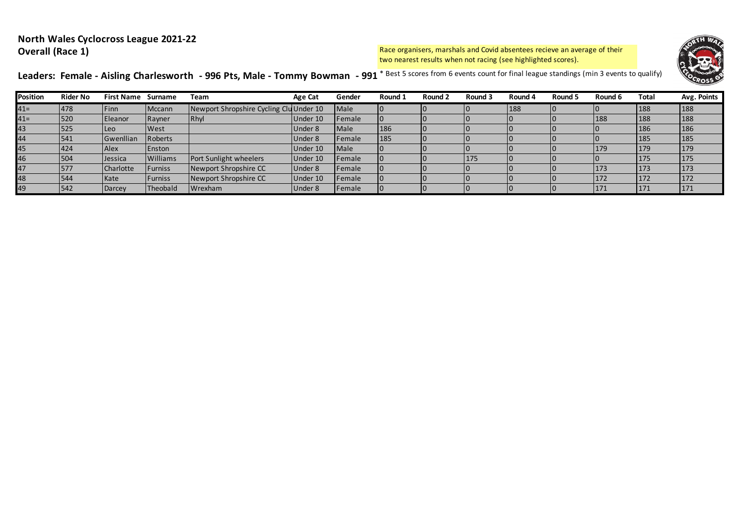# **North Wales Cyclocross League 2021-22 Overall (Race 1)**

Race organisers, marshals and Covid absentees recieve an average of their two nearest results when not racing (see highlighted scores).



Leaders: Female - Aisling Charlesworth - 996 Pts, Male - Tommy Bowman - 991<sup>\* Best 5 scores from 6 events count for final league standings (min 3 events to qualify)</sup>

| Position | <b>Rider No</b> | <b>First Name Surname</b> |                | Team                                    | <b>Age Cat</b> | Gender         | Round 1 | Round 2 | Round 3 | Round 4 | Round 5 | Round 6    | Total      | Avg. Points |
|----------|-----------------|---------------------------|----------------|-----------------------------------------|----------------|----------------|---------|---------|---------|---------|---------|------------|------------|-------------|
| $41 =$   | 478             | Finn                      | Mccann         | Newport Shropshire Cycling Clu Under 10 |                | <b>Male</b>    |         |         |         | 188     |         |            | 188        | 188         |
| $41 =$   | 520             | <b>IEleanor</b>           | Rayner         | Rhyl                                    | Under 10       | <b>Female</b>  |         |         |         |         |         | 188        | 188        | 188         |
| 43       | 525             | ILeo                      | West           |                                         | Under 8        | Male           | 186     |         |         |         |         |            | 186        | 186         |
| 44       | 541             | Gwenllian                 | <b>Roberts</b> |                                         | Under 8        | Female         | 185     |         |         |         |         |            | 185        | 185         |
| 45       | 424             | Alex                      | Enston         |                                         | Under 10       | Male           |         |         |         |         |         | 179        | <b>179</b> | 179         |
| 46       | 504             | Jessica                   | Williams       | Port Sunlight wheelers                  | Under 10       | <b>IFemale</b> |         |         | 175     |         |         |            | 175        | 175         |
| 47       | 577             | Charlotte                 | <b>Furniss</b> | Newport Shropshire CC                   | Under 8        | Female         |         |         |         |         |         | <b>173</b> | 173        | 173         |
| 48       | 544             | Kate                      | <b>Furniss</b> | Newport Shropshire CC                   | Under 10       | <b>IFemale</b> |         |         |         |         |         | 172        | 172        | 172         |
| 49       | 542             | Darcey                    | Theobald       | <b>I</b> Wrexham                        | Under 8        | Female         |         |         |         |         |         | 171        | 171        | 171         |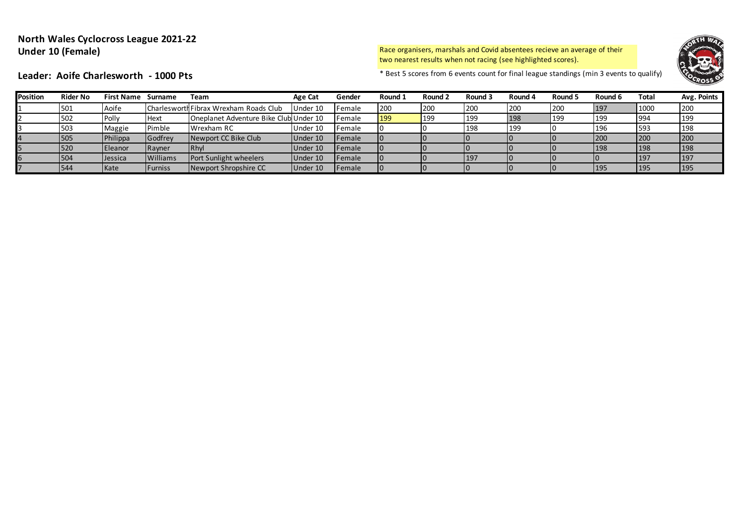# **North Wales Cyclocross League 2021-22 Under 10 (Female)**

Race organisers, marshals and Covid absentees recieve an average of their two nearest results when not racing (see highlighted scores).



Leader: Aoife Charlesworth - 1000 Pts **Exercise 1000 Pts** \* Best 5 scores from 6 events count for final league standings (min 3 events to qualify)

| Position | <b>Rider No</b> | <b>First Name</b> | Surname         | Team                                   | Age Cat  | Gender         | Round 1    | Round 2    | Round 3 | Round 4 | Round 5 | Round 6 | <b>Total</b> | Avg. Points |
|----------|-----------------|-------------------|-----------------|----------------------------------------|----------|----------------|------------|------------|---------|---------|---------|---------|--------------|-------------|
|          | 501             | Aoife             |                 | Charlesworth Fibrax Wrexham Roads Club | Under 10 | Female         | 200        | 200        | 200     | 200     | 200     | 197     | 1000         | 200         |
|          | 502             | Polly             | l Hext          | Oneplanet Adventure Bike Club Under 10 |          | <b>IFemale</b> | <b>199</b> | <b>199</b> | 199     | 198     | 199     | 199     | 994          | 199         |
|          | 503             | Maggie            | Pimble          | Wrexham RC                             | Under 10 | Female         |            |            | 198     | 199     |         | 196     | 593          | 198         |
|          | 505             | Philippa          | Godfrey         | Newport CC Bike Club                   | Under 10 | <b>IFemale</b> |            |            |         |         |         | 200     | <b>200</b>   | 200         |
|          | 520             | Eleanor           | Rayner          | <b>IRhvi</b>                           | Under 10 | <b>IFemale</b> |            |            |         |         |         | 198     | 198          | 198         |
|          | 1504            | Jessica           | <b>Williams</b> | Port Sunlight wheelers                 | Under 10 | <b>IFemale</b> |            |            | 197     |         |         |         | 197          | <b>197</b>  |
|          | 544             | Kate              | Furniss         | Newport Shropshire CC                  | Under 10 | <b>Female</b>  |            |            |         |         |         | 195     | 195          | 195         |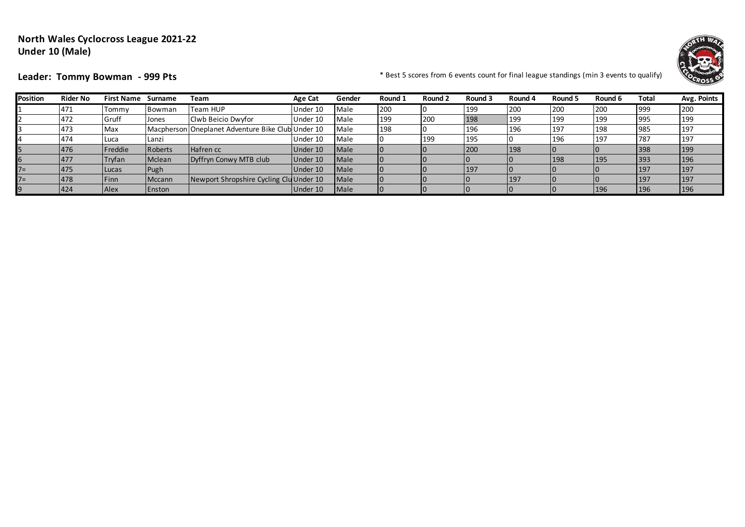# **North Wales Cyclocross League 2021-22 Under 10 (Male)**



Leader: Tommy Bowman - 999 Pts **Exercise 2008** Property and the sect 5 scores from 6 events count for final league standings (min 3 events to qualify)

| <b>Position</b> | <b>Rider No</b> | <b>First Name</b> | Surname | Team                                              | <b>Age Cat</b> | Gender      | Round 1 | Round 2    | Round 3 | Round 4 | Round 5 | Round 6 | Total | Avg. Points |
|-----------------|-----------------|-------------------|---------|---------------------------------------------------|----------------|-------------|---------|------------|---------|---------|---------|---------|-------|-------------|
|                 | 471             | Tommv             | Bowman  | Team HUP                                          | Under 10       | Male        | 200     |            | 199     | 200     | 200     | 200     | 999   | 200         |
|                 | 472             | Gruff             | Jones   | Clwb Beicio Dwyfor                                | Under 10       | Male        | 199     | <b>200</b> | 198     | 199     | 199     | 199     | 995   | 199         |
|                 | 473             | Max               |         | Macpherson Oneplanet Adventure Bike Club Under 10 |                | Male        | 198     |            | 196     | 196     | 197     | 198     | 985   | 197         |
|                 | 474             | Luca              | Lanzi   |                                                   | Under 10       | Male        |         | <b>199</b> | 195     |         | 196     | 197     | 787   | 197         |
|                 | 476             | Freddie           | Roberts | Hafren cc                                         | Under 10       | <b>Male</b> |         |            | 200     | 198     |         |         | 398   | 199         |
|                 | 477             | Tryfan            | Mclean  | Dyffryn Conwy MTB club                            | Under 10       | <b>Male</b> |         |            |         |         | 198     | 195     | 393   | 196         |
| $7=$            | 475             | Lucas             | Pugh    |                                                   | Under 10       | <b>Male</b> |         |            | 197     |         |         |         | 197   | 197         |
| $7=$            | 478             | Finn              | Mccann  | Newport Shropshire Cycling Clu Under 10           |                | Male        |         |            |         | 197     |         |         | 197   | 197         |
|                 | 424             | Alex              | Enston  |                                                   | Under 10       | Male        |         |            |         |         |         | 196     | 196   | 196         |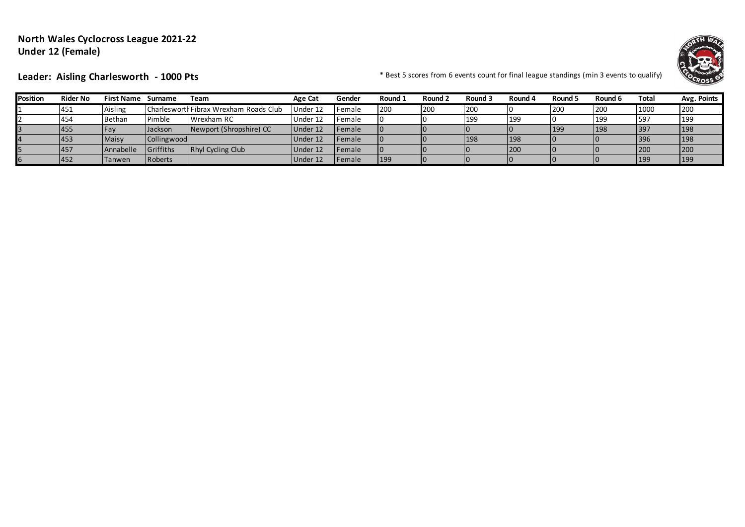# **North Wales Cyclocross League 2021-22 Under 12 (Female)**



Leader: Aisling Charlesworth - 1000 Pts **\*** Best 5 scores from 6 events count for final league standings (min 3 events to qualify)

| Position | <b>Rider No</b> | First Name    | Surname           | Team                                   | Age Cat  | Gender         | Round 1 | Round 2 | Round 3 | Round 4    | Round 5 | Round 6 | Total | Avg. Points |
|----------|-----------------|---------------|-------------------|----------------------------------------|----------|----------------|---------|---------|---------|------------|---------|---------|-------|-------------|
|          | 451             | Aisling       |                   | Charlesworth Fibrax Wrexham Roads Club | Under 12 | <b>IFemale</b> | 200     | 1200    | 200     |            | 200     | 200     | 1000  | <b>200</b>  |
|          | 454             | <b>Bethan</b> | Pimble            | Wrexham RC                             | Under 12 | Female         |         |         | 199     | <b>199</b> |         | 199     | 597   | 199         |
|          | 455             | l Fav         | <b>Jackson</b>    | Newport (Shropshire) CC                | Under 12 | <b>IFemale</b> |         |         |         |            | 199     | 198     | 397   | 198         |
|          | 453             | Maisy         | Collingwood       |                                        | Under 12 | <b>IFemale</b> |         |         | 198     | 198        |         |         | 396   | 198         |
|          | 457             | Annabelle     | <b>IGriffiths</b> | Rhyl Cycling Club                      | Under 12 | Female         |         |         |         | 200        |         |         | 200   | 200         |
|          | 452             | <b>Tanwen</b> | Roberts           |                                        | Under 12 | <b>IFemale</b> | 199     |         |         | 10         |         |         | 199   | <b>199</b>  |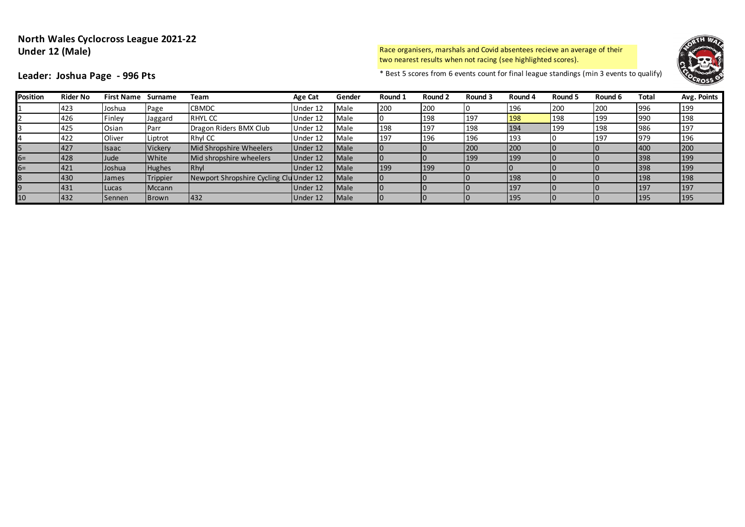# **North Wales Cyclocross League 2021-22 Under 12 (Male)**

Race organisers, marshals and Covid absentees recieve an average of their two nearest results when not racing (see highlighted scores).



**Leader: Joshua Page - 996 Pts** \* Best 5 scores from 6 events count for final league standings (min 3 events to qualify)

| <b>Position</b> | <b>Rider No</b> | <b>First Name Surname</b> |                | Team                                    | <b>Age Cat</b> | Gender | Round 1 | Round 2 | Round 3 | Round 4 | Round 5 | Round 6 | Total | Avg. Points |
|-----------------|-----------------|---------------------------|----------------|-----------------------------------------|----------------|--------|---------|---------|---------|---------|---------|---------|-------|-------------|
|                 | 423             | Joshua                    | Page           | <b>CBMDC</b>                            | Under 12       | Male   | 200     | 200     |         | 196     | 200     | 200     | 996   | 199         |
|                 | 426             | Finley                    | Jaggard        | <b>RHYLCC</b>                           | Under 12       | Male   |         | 198     | 197     | 198     | 198     | 199     | 990   | 198         |
|                 | 425             | Osian                     | Parr           | Dragon Riders BMX Club                  | Under 12       | Male   | 198     | 197     | 198     | 194     | 199     | 198     | 986   | 197         |
|                 | 422             | Oliver                    | Liptrot        | Rhyl CC                                 | Under 12       | Male   | 197     | 196     | 196     | 193     |         | 197     | 979   | 196         |
|                 | 427             | <b>Isaac</b>              | <b>Vickery</b> | Mid Shropshire Wheelers                 | Under 12       | Male   |         |         | 200     | 200     |         |         | 400   | 200         |
| 6=              | 428             | Jude                      | White          | Mid shropshire wheelers                 | Under 12       | Male   |         |         | 199     | 199     |         |         | 398   | 199         |
| 5=              | 421             | Joshua                    | <b>Hughes</b>  | Rhyl                                    | Under 12       | Male   | 199     | 199     |         |         |         |         | 398   | 199         |
|                 | 430             | <b>James</b>              | Trippier       | Newport Shropshire Cycling Clu Under 12 |                | Male   |         |         |         | 198     |         |         | 198   | 198         |
|                 | 431             | Lucas                     | Mccann         |                                         | Under 12       | Male   |         |         |         | 197     |         |         | 197   | 197         |
| 10              | 432             | Sennen                    | Brown          | 432                                     | Under 12       | Male   |         |         |         | 195     |         |         | 195   | 195         |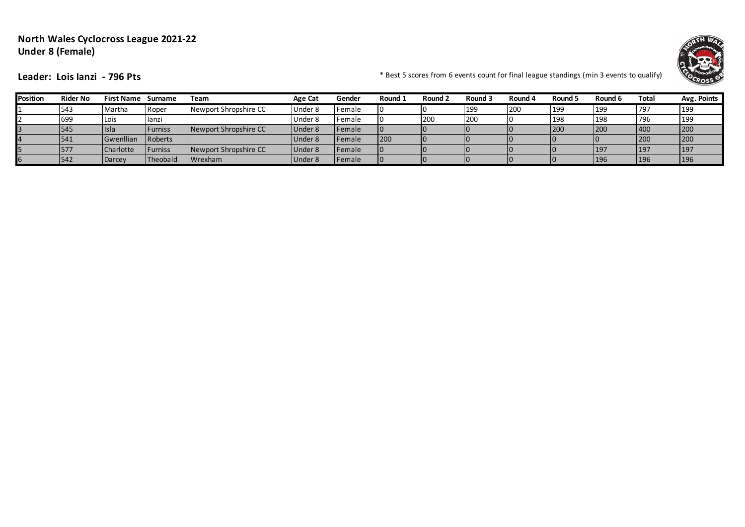# **North Wales Cyclocross League 2021-22 Under 8 (Female)**



**Leader: Lois lanzi - 796 Pts** \* Best 5 scores from 6 events count for final league standings (min 3 events to qualify)

| <b>Position</b> | <b>Rider No</b> | <b>First Name</b> | Surname          | Team                  | <b>Age Cat</b> | Gender         | Round 1 | Round 2 | Round 3    | Round 4 | Round 5 | Round 6    | <b>Total</b> | Avg. Points |
|-----------------|-----------------|-------------------|------------------|-----------------------|----------------|----------------|---------|---------|------------|---------|---------|------------|--------------|-------------|
|                 | 543             | Martha            | Roper            | Newport Shropshire CC | Under 8        | Female         |         |         | 199        | 200     | 199     | 199        | 797          | 199         |
|                 | 699             | Lois              | llanzi           |                       | Under 8        | <b>IFemale</b> |         | 200     | <b>200</b> |         | 198     | 198        | 796          | 199         |
|                 | 545             | llsla             | <b>I</b> Furniss | Newport Shropshire CC | Under 8        | <b>IFemale</b> |         |         |            |         | 200     | 200        | 400          | 200         |
|                 | 541             | Gwenllian         | Roberts          |                       | Under 8        | <b>IFemale</b> | 200     |         |            |         |         |            | 200          | 200         |
|                 | 577             | Charlotte         | l Furniss        | Newport Shropshire CC | Under 8        | <b>IFemale</b> |         |         |            |         |         | 197        | 197          | <b>197</b>  |
|                 | '542            | Darcey            | Theobald         | Wrexham               | Under 8        | Female         |         |         |            | 10      |         | <b>196</b> | 196          | 196         |